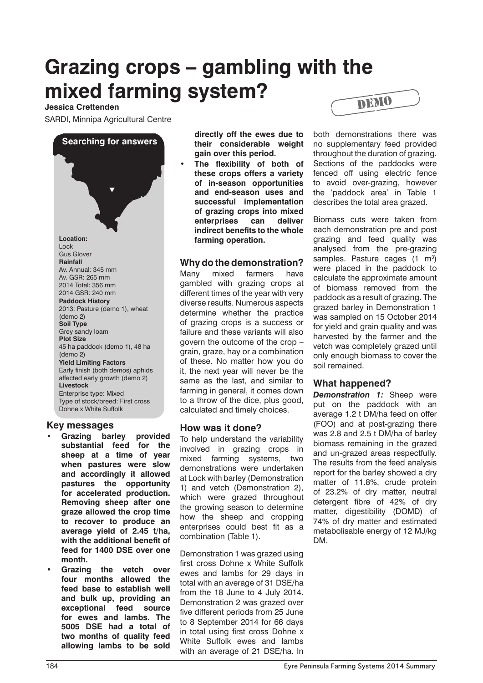# **Grazing crops – gambling with the mixed farming system?**

### **Jessica Crettenden**

SARDI, Minnipa Agricultural Centre

**Searching for answers**  $\blacktriangledown$ **Location:**  Lock Gus Glover **Rainfall** Av. Annual: 345 mm Av. GSR: 265 mm 2014 Total: 356 mm 2014 GSR: 240 mm **Paddock History** 2013: Pasture (demo 1), wheat (demo 2) **Soil Type** Grey sandy loam **Plot Size** 45 ha paddock (demo 1), 48 ha (demo 2) **Yield Limiting Factors** Early finish (both demos) aphids affected early growth (demo 2) **Livestock** Enterprise type: Mixed Type of stock/breed: First cross Dohne x White Suffolk

#### **Key messages**

- Grazing barley provided **substantial feed for the sheep at a time of year when pastures were slow and accordingly it allowed pastures the opportunity for accelerated production. Removing sheep after one graze allowed the crop time to recover to produce an average yield of 2.45 t/ha, with the additional benefit of feed for 1400 DSE over one month.**
- Grazing the vetch over **four months allowed the feed base to establish well and bulk up, providing an exceptional feed source for ewes and lambs. The 5005 DSE had a total of two months of quality feed allowing lambs to be sold**

**directly off the ewes due to their considerable weight gain over this period.**

The flexibility of both of **these crops offers a variety of in-season opportunities and end-season uses and successful implementation of grazing crops into mixed enterprises can deliver indirect benefits to the whole farming operation.**

## **Why do the demonstration?**

Many mixed farmers have gambled with grazing crops at different times of the year with very diverse results. Numerous aspects determine whether the practice of grazing crops is a success or failure and these variants will also govern the outcome of the crop – grain, graze, hay or a combination of these. No matter how you do it, the next year will never be the same as the last, and similar to farming in general, it comes down to a throw of the dice, plus good, calculated and timely choices.

## **How was it done?**

To help understand the variability involved in grazing crops in mixed farming systems, two demonstrations were undertaken at Lock with barley (Demonstration 1) and vetch (Demonstration 2), which were grazed throughout the growing season to determine how the sheep and cropping enterprises could best fit as a combination (Table 1).

Demonstration 1 was grazed using first cross Dohne x White Suffolk ewes and lambs for 29 days in total with an average of 31 DSE/ha from the 18 June to 4 July 2014. Demonstration 2 was grazed over five different periods from 25 June to 8 September 2014 for 66 days in total using first cross Dohne x White Suffolk ewes and lambs with an average of 21 DSE/ha. In



both demonstrations there was no supplementary feed provided throughout the duration of grazing. Sections of the paddocks were fenced off using electric fence to avoid over-grazing, however the 'paddock area' in Table 1 describes the total area grazed.

Biomass cuts were taken from each demonstration pre and post grazing and feed quality was analysed from the pre-grazing samples. Pasture cages  $(1 \text{ m}^3)$ were placed in the paddock to calculate the approximate amount of biomass removed from the paddock as a result of grazing. The grazed barley in Demonstration 1 was sampled on 15 October 2014 for yield and grain quality and was harvested by the farmer and the vetch was completely grazed until only enough biomass to cover the soil remained.

#### **What happened?**

*Demonstration 1:* Sheep were put on the paddock with an average 1.2 t DM/ha feed on offer (FOO) and at post-grazing there was 2.8 and 2.5 t DM/ha of barley biomass remaining in the grazed and un-grazed areas respectfully. The results from the feed analysis report for the barley showed a dry matter of 11.8%, crude protein of 23.2% of dry matter, neutral detergent fibre of 42% of dry matter, digestibility (DOMD) of 74% of dry matter and estimated metabolisable energy of 12 MJ/kg DM.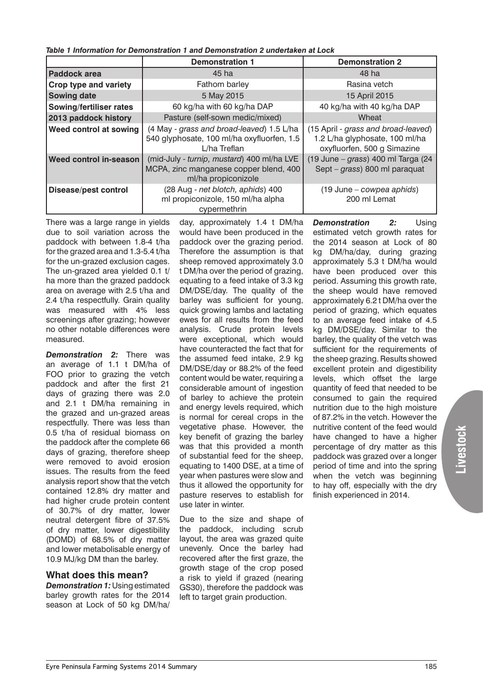*Table 1 Information for Demonstration 1 and Demonstration 2 undertaken at Lock*

|                             | <b>Demonstration 1</b>                                                                                      | <b>Demonstration 2</b>                                                                               |
|-----------------------------|-------------------------------------------------------------------------------------------------------------|------------------------------------------------------------------------------------------------------|
| <b>Paddock area</b>         | 45 ha                                                                                                       | 48 ha                                                                                                |
| Crop type and variety       | Fathom barley                                                                                               | Rasina vetch                                                                                         |
| <b>Sowing date</b>          | 5 May 2015                                                                                                  | 15 April 2015                                                                                        |
| Sowing/fertiliser rates     | 60 kg/ha with 60 kg/ha DAP                                                                                  | 40 kg/ha with 40 kg/ha DAP                                                                           |
| 2013 paddock history        | Pasture (self-sown medic/mixed)                                                                             | Wheat                                                                                                |
| Weed control at sowing      | (4 May - grass and broad-leaved) 1.5 L/ha<br>540 glyphosate, 100 ml/ha oxyfluorfen, 1.5<br>L/ha Treflan     | (15 April - grass and broad-leaved)<br>1.2 L/ha glyphosate, 100 ml/ha<br>oxyfluorfen, 500 g Simazine |
| Weed control in-season      | (mid-July - turnip, mustard) 400 ml/ha LVE<br>MCPA, zinc manganese copper blend, 400<br>ml/ha propiconizole | (19 June - grass) 400 ml Targa (24<br>Sept - grass) 800 ml paraquat                                  |
| <b>Disease/pest control</b> | (28 Aug - net blotch, aphids) 400<br>ml propiconizole, 150 ml/ha alpha<br>cypermethrin                      | (19 June – cowpea aphids)<br>200 ml Lemat                                                            |

There was a large range in yields due to soil variation across the paddock with between 1.8-4 t/ha for the grazed area and 1.3-5.4 t/ha for the un-grazed exclusion cages. The un-grazed area yielded 0.1 t/ ha more than the grazed paddock area on average with 2.5 t/ha and 2.4 t/ha respectfully. Grain quality was measured with 4% less screenings after grazing; however no other notable differences were measured.

*Demonstration 2:* There was an average of 1.1 t DM/ha of FOO prior to grazing the vetch paddock and after the first 21 days of grazing there was 2.0 and 2.1 t DM/ha remaining in the grazed and un-grazed areas respectfully. There was less than 0.5 t/ha of residual biomass on the paddock after the complete 66 days of grazing, therefore sheep were removed to avoid erosion issues. The results from the feed analysis report show that the vetch contained 12.8% dry matter and had higher crude protein content of 30.7% of dry matter, lower neutral detergent fibre of 37.5% of dry matter, lower digestibility (DOMD) of 68.5% of dry matter and lower metabolisable energy of 10.9 MJ/kg DM than the barley.

## **What does this mean?**

*Demonstration 1:* Using estimated barley growth rates for the 2014 season at Lock of 50 kg DM/ha/ day, approximately 1.4 t DM/ha would have been produced in the paddock over the grazing period. Therefore the assumption is that sheep removed approximately 3.0 t DM/ha over the period of grazing. equating to a feed intake of 3.3 kg DM/DSE/day. The quality of the barley was sufficient for young, quick growing lambs and lactating ewes for all results from the feed analysis. Crude protein levels were exceptional, which would have counteracted the fact that for the assumed feed intake, 2.9 kg DM/DSE/day or 88.2% of the feed content would be water, requiring a considerable amount of ingestion of barley to achieve the protein and energy levels required, which is normal for cereal crops in the vegetative phase. However, the key benefit of grazing the barley was that this provided a month of substantial feed for the sheep, equating to 1400 DSE, at a time of year when pastures were slow and thus it allowed the opportunity for pasture reserves to establish for use later in winter.

Due to the size and shape of the paddock, including scrub layout, the area was grazed quite unevenly. Once the barley had recovered after the first graze, the growth stage of the crop posed a risk to yield if grazed (nearing GS30), therefore the paddock was left to target grain production.

**Demonstration 2:** Using estimated vetch growth rates for the 2014 season at Lock of 80 kg DM/ha/day, during grazing approximately 5.3 t DM/ha would have been produced over this period. Assuming this growth rate, the sheep would have removed approximately 6.2 t DM/ha over the period of grazing, which equates to an average feed intake of 4.5 kg DM/DSE/day. Similar to the barley, the quality of the vetch was sufficient for the requirements of the sheep grazing. Results showed excellent protein and digestibility levels, which offset the large quantity of feed that needed to be consumed to gain the required nutrition due to the high moisture of 87.2% in the vetch. However the nutritive content of the feed would have changed to have a higher percentage of dry matter as this paddock was grazed over a longer period of time and into the spring when the vetch was beginning to hay off, especially with the dry finish experienced in 2014.